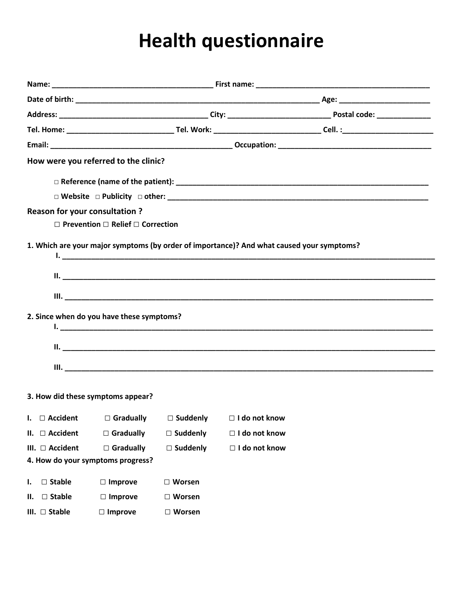## **Health questionnaire**

|                                      | How were you referred to the clinic?              |                 |                                                                                           |  |  |  |
|--------------------------------------|---------------------------------------------------|-----------------|-------------------------------------------------------------------------------------------|--|--|--|
|                                      |                                                   |                 |                                                                                           |  |  |  |
|                                      |                                                   |                 |                                                                                           |  |  |  |
| <b>Reason for your consultation?</b> | $\Box$ Prevention $\Box$ Relief $\Box$ Correction |                 |                                                                                           |  |  |  |
|                                      |                                                   |                 | 1. Which are your major symptoms (by order of importance)? And what caused your symptoms? |  |  |  |
|                                      | 2. Since when do you have these symptoms?         |                 |                                                                                           |  |  |  |
|                                      | 3. How did these symptoms appear?                 |                 |                                                                                           |  |  |  |
|                                      |                                                   |                 | I. $\Box$ Accident $\Box$ Gradually $\Box$ Suddenly $\Box$ I do not know                  |  |  |  |
| $II. \square$ Accident               | $\Box$ Gradually                                  | $\Box$ Suddenly | □ I do not know                                                                           |  |  |  |
| III. □ Accident                      | $\Box$ Gradually                                  | $\Box$ Suddenly | □ I do not know                                                                           |  |  |  |
| 4. How do your symptoms progress?    |                                                   |                 |                                                                                           |  |  |  |
| $\Box$ Stable<br>Ι.                  | $\Box$ Improve                                    | $\Box$ Worsen   |                                                                                           |  |  |  |
| $\square$ Stable<br>н.               | $\Box$ Improve                                    | $\Box$ Worsen   |                                                                                           |  |  |  |
| III. $\square$ Stable                | $\Box$ Improve                                    | $\Box$ Worsen   |                                                                                           |  |  |  |